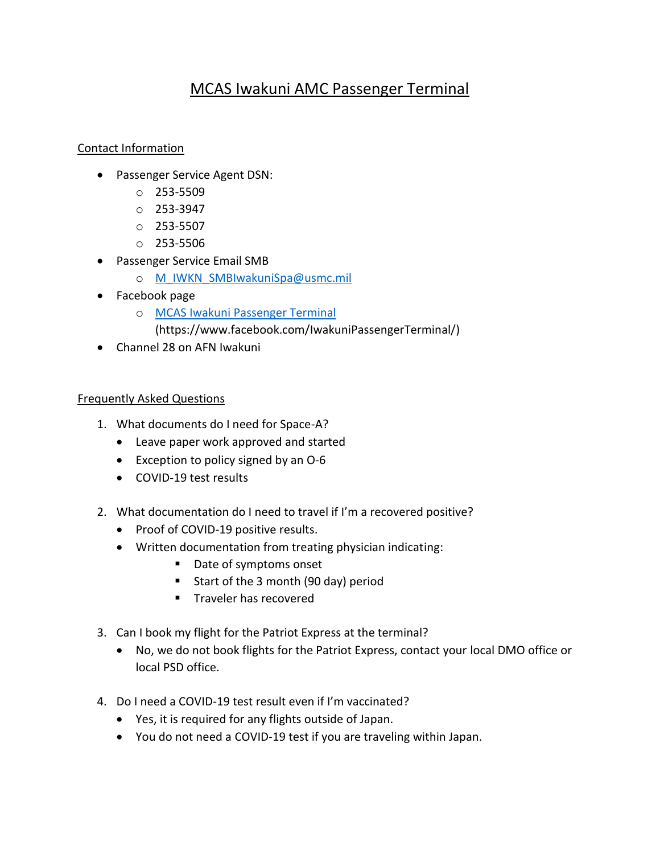## MCAS Iwakuni AMC Passenger Terminal

## Contact Information

- Passenger Service Agent DSN:
	- o 253-5509
	- o 253-3947
	- o 253-5507
	- o 253-5506
- Passenger Service Email SMB
	- o [M\\_IWKN\\_SMBIwakuniSpa@usmc.mil](mailto:M_IWKN_SMBIwakuniSpa@usmc.mil)
- Facebook page
	- o [MCAS Iwakuni Passenger Terminal](https://www.facebook.com/IwakuniPassengerTerminal/)
		- (https://www.facebook.com/IwakuniPassengerTerminal/)
- Channel 28 on AFN Iwakuni

## Frequently Asked Questions

- 1. What documents do I need for Space-A?
	- Leave paper work approved and started
	- Exception to policy signed by an O-6
	- COVID-19 test results
- 2. What documentation do I need to travel if I'm a recovered positive?
	- Proof of COVID-19 positive results.
	- Written documentation from treating physician indicating:
		- Date of symptoms onset
		- Start of the 3 month (90 day) period
		- **Traveler has recovered**
- 3. Can I book my flight for the Patriot Express at the terminal?
	- No, we do not book flights for the Patriot Express, contact your local DMO office or local PSD office.
- 4. Do I need a COVID-19 test result even if I'm vaccinated?
	- Yes, it is required for any flights outside of Japan.
	- You do not need a COVID-19 test if you are traveling within Japan.